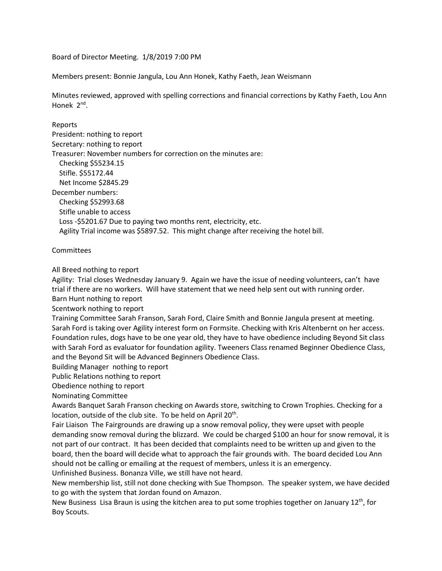Board of Director Meeting. 1/8/2019 7:00 PM

Members present: Bonnie Jangula, Lou Ann Honek, Kathy Faeth, Jean Weismann

Minutes reviewed, approved with spelling corrections and financial corrections by Kathy Faeth, Lou Ann Honek 2<sup>nd</sup>.

Reports President: nothing to report Secretary: nothing to report Treasurer: November numbers for correction on the minutes are: Checking \$55234.15 Stifle. \$55172.44 Net Income \$2845.29 December numbers: Checking \$52993.68 Stifle unable to access Loss -\$5201.67 Due to paying two months rent, electricity, etc. Agility Trial income was \$5897.52. This might change after receiving the hotel bill.

## **Committees**

All Breed nothing to report

Agility: Trial closes Wednesday January 9. Again we have the issue of needing volunteers, can't have trial if there are no workers. Will have statement that we need help sent out with running order.

Barn Hunt nothing to report

Scentwork nothing to report

Training Committee Sarah Franson, Sarah Ford, Claire Smith and Bonnie Jangula present at meeting. Sarah Ford is taking over Agility interest form on Formsite. Checking with Kris Altenbernt on her access. Foundation rules, dogs have to be one year old, they have to have obedience including Beyond Sit class with Sarah Ford as evaluator for foundation agility. Tweeners Class renamed Beginner Obedience Class, and the Beyond Sit will be Advanced Beginners Obedience Class.

Building Manager nothing to report

Public Relations nothing to report

Obedience nothing to report

Nominating Committee

Awards Banquet Sarah Franson checking on Awards store, switching to Crown Trophies. Checking for a location, outside of the club site. To be held on April 20<sup>th</sup>.

Fair Liaison The Fairgrounds are drawing up a snow removal policy, they were upset with people demanding snow removal during the blizzard. We could be charged \$100 an hour for snow removal, it is not part of our contract. It has been decided that complaints need to be written up and given to the board, then the board will decide what to approach the fair grounds with. The board decided Lou Ann should not be calling or emailing at the request of members, unless it is an emergency. Unfinished Business. Bonanza Ville, we still have not heard.

New membership list, still not done checking with Sue Thompson. The speaker system, we have decided to go with the system that Jordan found on Amazon.

New Business Lisa Braun is using the kitchen area to put some trophies together on January 12<sup>th</sup>, for Boy Scouts.